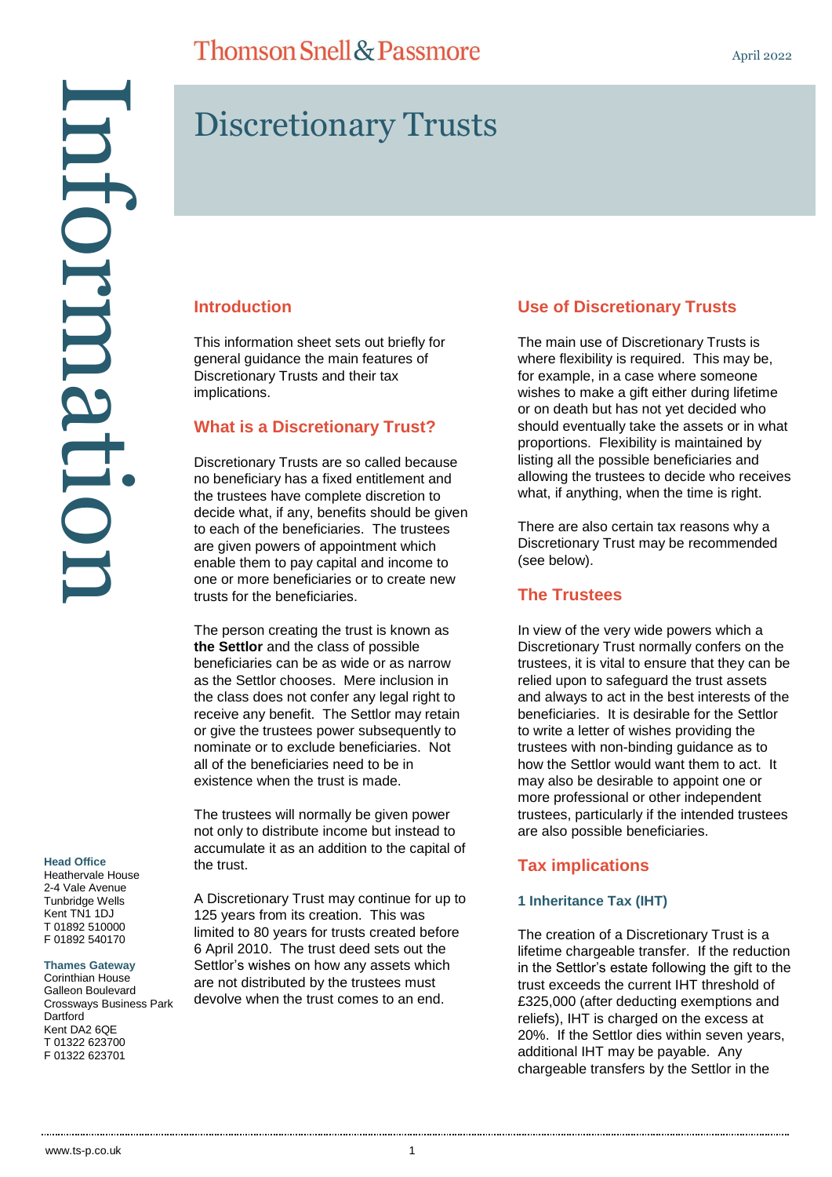#### **Head Office**

Heathervale House 2-4 Vale Avenue Tunbridge Wells Kent TN1 1DJ T 01892 510000 F 01892 540170

**Thames Gateway**

Corinthian House Galleon Boulevard Crossways Business Park Dartford Kent DA2 6QE T 01322 623700 F 01322 623701

## **Thomson Snell & Passmore**

# Discretionary Trusts

#### **Introduction**

This information sheet sets out briefly for general guidance the main features of Discretionary Trusts and their tax implications.

#### **What is a Discretionary Trust?**

Discretionary Trusts are so called because no beneficiary has a fixed entitlement and the trustees have complete discretion to decide what, if any, benefits should be given to each of the beneficiaries. The trustees are given powers of appointment which enable them to pay capital and income to one or more beneficiaries or to create new trusts for the beneficiaries.

The person creating the trust is known as **the Settlor** and the class of possible beneficiaries can be as wide or as narrow as the Settlor chooses. Mere inclusion in the class does not confer any legal right to receive any benefit. The Settlor may retain or give the trustees power subsequently to nominate or to exclude beneficiaries. Not all of the beneficiaries need to be in existence when the trust is made.

The trustees will normally be given power not only to distribute income but instead to accumulate it as an addition to the capital of the trust.

A Discretionary Trust may continue for up to 125 years from its creation. This was limited to 80 years for trusts created before 6 April 2010. The trust deed sets out the Settlor's wishes on how any assets which are not distributed by the trustees must devolve when the trust comes to an end.

## **Use of Discretionary Trusts**

The main use of Discretionary Trusts is where flexibility is required. This may be, for example, in a case where someone wishes to make a gift either during lifetime or on death but has not yet decided who should eventually take the assets or in what proportions. Flexibility is maintained by listing all the possible beneficiaries and allowing the trustees to decide who receives what, if anything, when the time is right.

There are also certain tax reasons why a Discretionary Trust may be recommended (see below).

### **The Trustees**

In view of the very wide powers which a Discretionary Trust normally confers on the trustees, it is vital to ensure that they can be relied upon to safeguard the trust assets and always to act in the best interests of the beneficiaries. It is desirable for the Settlor to write a letter of wishes providing the trustees with non-binding guidance as to how the Settlor would want them to act. It may also be desirable to appoint one or more professional or other independent trustees, particularly if the intended trustees are also possible beneficiaries.

## **Tax implications**

#### **1 Inheritance Tax (IHT)**

The creation of a Discretionary Trust is a lifetime chargeable transfer. If the reduction in the Settlor's estate following the gift to the trust exceeds the current IHT threshold of £325,000 (after deducting exemptions and reliefs), IHT is charged on the excess at 20%. If the Settlor dies within seven years, additional IHT may be payable. Any chargeable transfers by the Settlor in the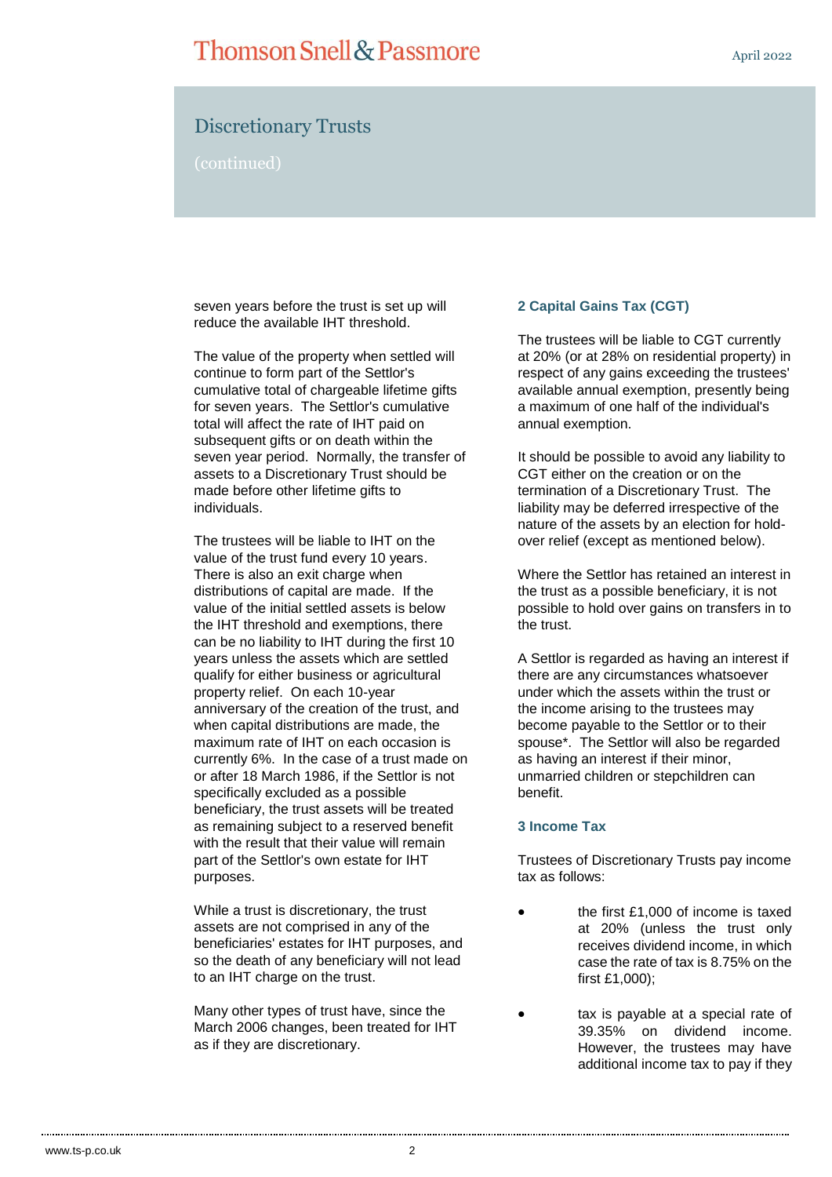## **Thomson Snell & Passmore**

## Discretionary Trusts

(continued)

seven years before the trust is set up will reduce the available IHT threshold.

The value of the property when settled will continue to form part of the Settlor's cumulative total of chargeable lifetime gifts for seven years. The Settlor's cumulative total will affect the rate of IHT paid on subsequent gifts or on death within the seven year period. Normally, the transfer of assets to a Discretionary Trust should be made before other lifetime gifts to individuals.

The trustees will be liable to IHT on the value of the trust fund every 10 years. There is also an exit charge when distributions of capital are made. If the value of the initial settled assets is below the IHT threshold and exemptions, there can be no liability to IHT during the first 10 years unless the assets which are settled qualify for either business or agricultural property relief. On each 10-year anniversary of the creation of the trust, and when capital distributions are made, the maximum rate of IHT on each occasion is currently 6%. In the case of a trust made on or after 18 March 1986, if the Settlor is not specifically excluded as a possible beneficiary, the trust assets will be treated as remaining subject to a reserved benefit with the result that their value will remain part of the Settlor's own estate for IHT purposes.

While a trust is discretionary, the trust assets are not comprised in any of the beneficiaries' estates for IHT purposes, and so the death of any beneficiary will not lead to an IHT charge on the trust.

Many other types of trust have, since the March 2006 changes, been treated for IHT as if they are discretionary.

#### **2 Capital Gains Tax (CGT)**

The trustees will be liable to CGT currently at 20% (or at 28% on residential property) in respect of any gains exceeding the trustees' available annual exemption, presently being a maximum of one half of the individual's annual exemption.

It should be possible to avoid any liability to CGT either on the creation or on the termination of a Discretionary Trust. The liability may be deferred irrespective of the nature of the assets by an election for holdover relief (except as mentioned below).

Where the Settlor has retained an interest in the trust as a possible beneficiary, it is not possible to hold over gains on transfers in to the trust.

A Settlor is regarded as having an interest if there are any circumstances whatsoever under which the assets within the trust or the income arising to the trustees may become payable to the Settlor or to their spouse\*. The Settlor will also be regarded as having an interest if their minor, unmarried children or stepchildren can benefit.

#### **3 Income Tax**

Trustees of Discretionary Trusts pay income tax as follows:

- the first £1,000 of income is taxed at 20% (unless the trust only receives dividend income, in which case the rate of tax is 8.75% on the first £1,000);
	- tax is payable at a special rate of 39.35% on dividend income. However, the trustees may have additional income tax to pay if they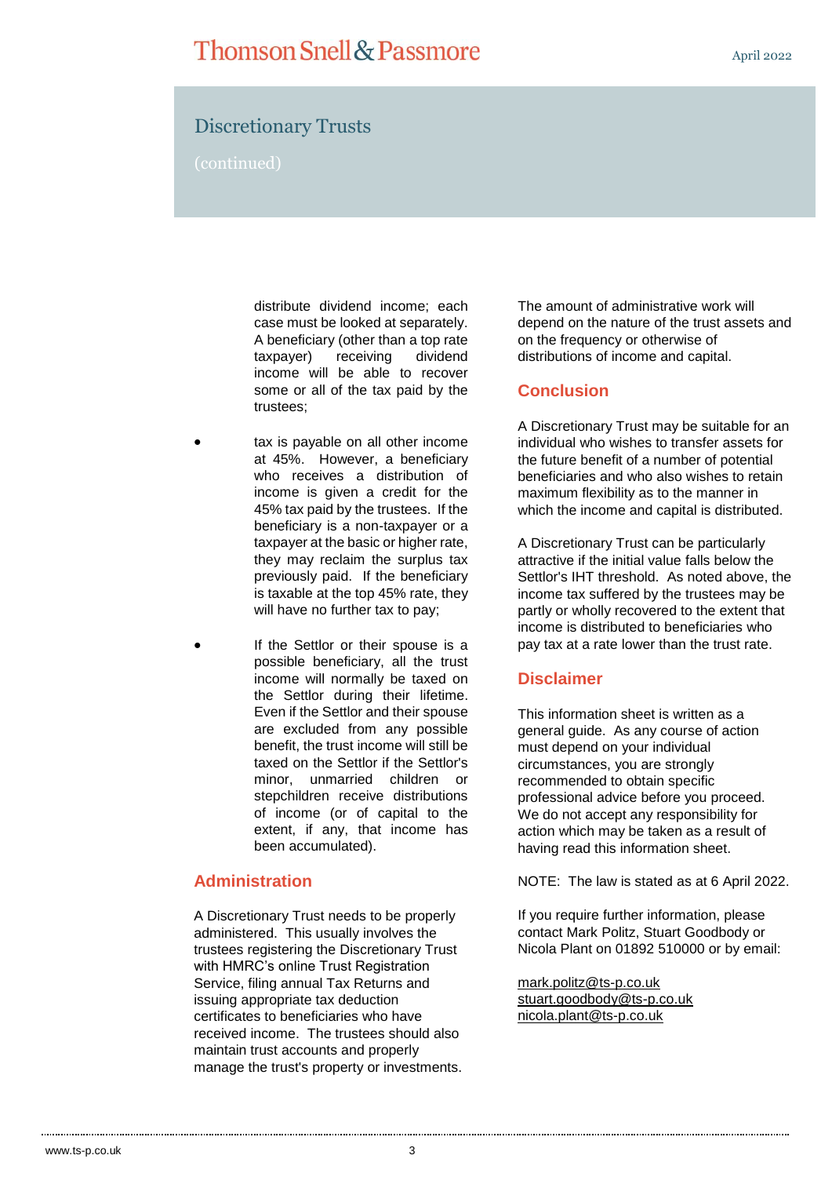## Discretionary Trusts

(continued)

distribute dividend income; each case must be looked at separately. A beneficiary (other than a top rate taxpayer) receiving dividend income will be able to recover some or all of the tax paid by the trustees;

- tax is payable on all other income at 45%. However, a beneficiary who receives a distribution of income is given a credit for the 45% tax paid by the trustees. If the beneficiary is a non-taxpayer or a taxpayer at the basic or higher rate, they may reclaim the surplus tax previously paid. If the beneficiary is taxable at the top 45% rate, they will have no further tax to pay;
- If the Settlor or their spouse is a possible beneficiary, all the trust income will normally be taxed on the Settlor during their lifetime. Even if the Settlor and their spouse are excluded from any possible benefit, the trust income will still be taxed on the Settlor if the Settlor's minor, unmarried children or stepchildren receive distributions of income (or of capital to the extent, if any, that income has been accumulated).

## **Administration**

A Discretionary Trust needs to be properly administered. This usually involves the trustees registering the Discretionary Trust with HMRC's online Trust Registration Service, filing annual Tax Returns and issuing appropriate tax deduction certificates to beneficiaries who have received income. The trustees should also maintain trust accounts and properly manage the trust's property or investments. The amount of administrative work will depend on the nature of the trust assets and on the frequency or otherwise of distributions of income and capital.

### **Conclusion**

A Discretionary Trust may be suitable for an individual who wishes to transfer assets for the future benefit of a number of potential beneficiaries and who also wishes to retain maximum flexibility as to the manner in which the income and capital is distributed.

A Discretionary Trust can be particularly attractive if the initial value falls below the Settlor's IHT threshold. As noted above, the income tax suffered by the trustees may be partly or wholly recovered to the extent that income is distributed to beneficiaries who pay tax at a rate lower than the trust rate.

#### **Disclaimer**

This information sheet is written as a general guide. As any course of action must depend on your individual circumstances, you are strongly recommended to obtain specific professional advice before you proceed. We do not accept any responsibility for action which may be taken as a result of having read this information sheet.

NOTE: The law is stated as at 6 April 2022.

If you require further information, please contact Mark Politz, Stuart Goodbody or Nicola Plant on 01892 510000 or by email:

[mark.politz@ts-p.co.uk](mailto:mark.politz@ts-p.co.uk) [stuart.goodbody@ts-p.co.uk](mailto:stuart.goodbody@ts-p.co.uk) [nicola.plant@ts-p.co.uk](mailto:nicola.plant@ts-p.co.uk)